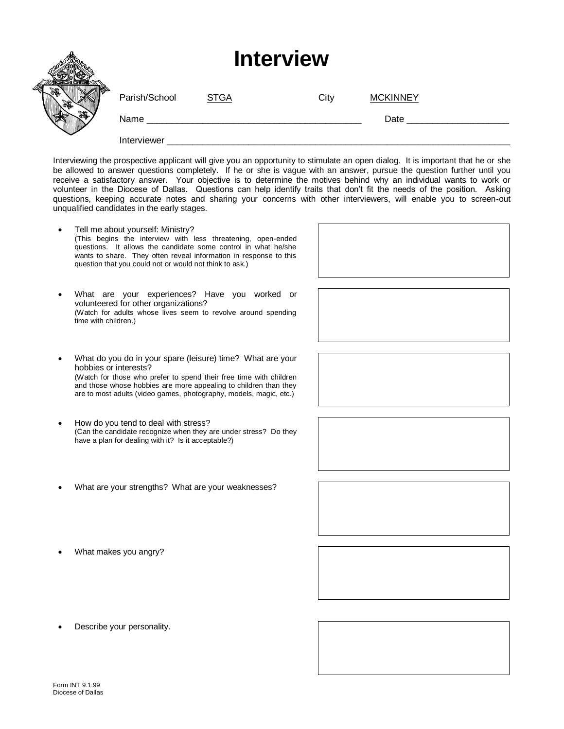|    | <b>Interview</b> |             |      |                 |  |
|----|------------------|-------------|------|-----------------|--|
|    | Parish/School    | <b>STGA</b> | City | <b>MCKINNEY</b> |  |
| S. | Name             |             |      | Date            |  |
|    | Interviewer      |             |      |                 |  |

Interviewing the prospective applicant will give you an opportunity to stimulate an open dialog. It is important that he or she be allowed to answer questions completely. If he or she is vague with an answer, pursue the question further until you receive a satisfactory answer. Your objective is to determine the motives behind why an individual wants to work or volunteer in the Diocese of Dallas. Questions can help identify traits that don't fit the needs of the position. Asking questions, keeping accurate notes and sharing your concerns with other interviewers, will enable you to screen-out unqualified candidates in the early stages.

- Tell me about yourself: Ministry? (This begins the interview with less threatening, open-ended questions. It allows the candidate some control in what he/she wants to share. They often reveal information in response to this question that you could not or would not think to ask.) • What are your experiences? Have you worked or volunteered for other organizations? (Watch for adults whose lives seem to revolve around spending time with children.) • What do you do in your spare (leisure) time? What are your hobbies or interests? (Watch for those who prefer to spend their free time with children and those whose hobbies are more appealing to children than they are to most adults (video games, photography, models, magic, etc.) • How do you tend to deal with stress? (Can the candidate recognize when they are under stress? Do they have a plan for dealing with it? Is it acceptable?) • What are your strengths? What are your weaknesses? • What makes you angry?
- Describe your personality.